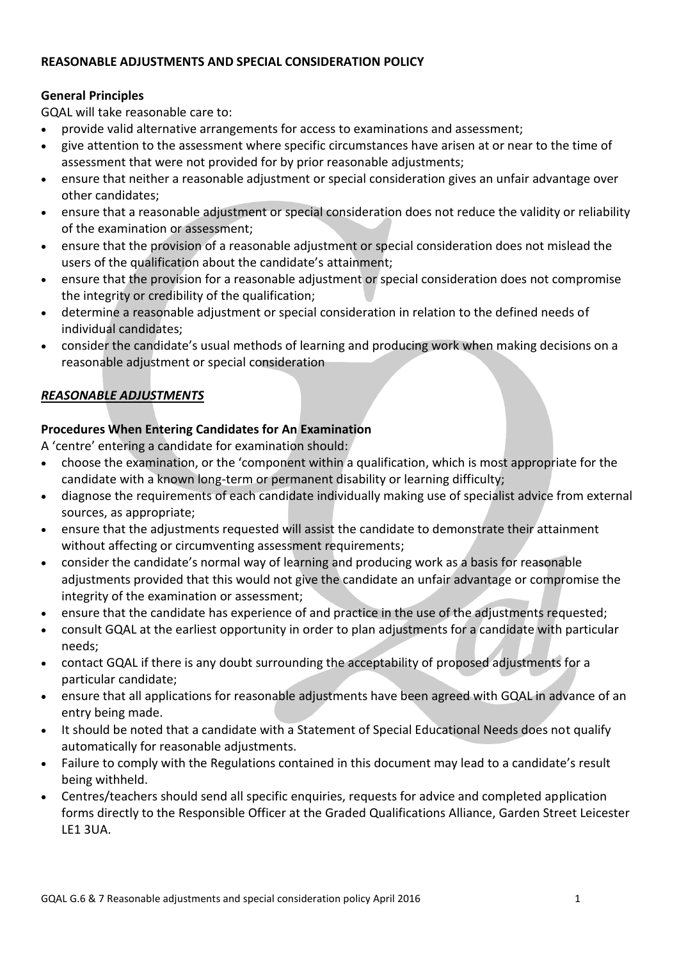#### **REASONABLE ADJUSTMENTS AND SPECIAL CONSIDERATION POLICY**

#### **General Principles**

GQAL will take reasonable care to:

- provide valid alternative arrangements for access to examinations and assessment;
- give attention to the assessment where specific circumstances have arisen at or near to the time of assessment that were not provided for by prior reasonable adjustments;
- ensure that neither a reasonable adjustment or special consideration gives an unfair advantage over other candidates;
- ensure that a reasonable adjustment or special consideration does not reduce the validity or reliability of the examination or assessment;
- ensure that the provision of a reasonable adjustment or special consideration does not mislead the users of the qualification about the candidate's attainment;
- ensure that the provision for a reasonable adjustment or special consideration does not compromise the integrity or credibility of the qualification;
- determine a reasonable adjustment or special consideration in relation to the defined needs of individual candidates;
- consider the candidate's usual methods of learning and producing work when making decisions on a reasonable adjustment or special consideration

### *REASONABLE ADJUSTMENTS*

#### **Procedures When Entering Candidates for An Examination**

A 'centre' entering a candidate for examination should:

- choose the examination, or the 'component within a qualification, which is most appropriate for the candidate with a known long-term or permanent disability or learning difficulty;
- diagnose the requirements of each candidate individually making use of specialist advice from external sources, as appropriate;
- ensure that the adjustments requested will assist the candidate to demonstrate their attainment without affecting or circumventing assessment requirements;
- consider the candidate's normal way of learning and producing work as a basis for reasonable adjustments provided that this would not give the candidate an unfair advantage or compromise the integrity of the examination or assessment;
- ensure that the candidate has experience of and practice in the use of the adjustments requested;
- consult GQAL at the earliest opportunity in order to plan adjustments for a candidate with particular needs;
- contact GQAL if there is any doubt surrounding the acceptability of proposed adjustments for a particular candidate;
- ensure that all applications for reasonable adjustments have been agreed with GQAL in advance of an entry being made.
- It should be noted that a candidate with a Statement of Special Educational Needs does not qualify automatically for reasonable adjustments.
- Failure to comply with the Regulations contained in this document may lead to a candidate's result being withheld.
- Centres/teachers should send all specific enquiries, requests for advice and completed application forms directly to the Responsible Officer at the Graded Qualifications Alliance, Garden Street Leicester LE1 3UA.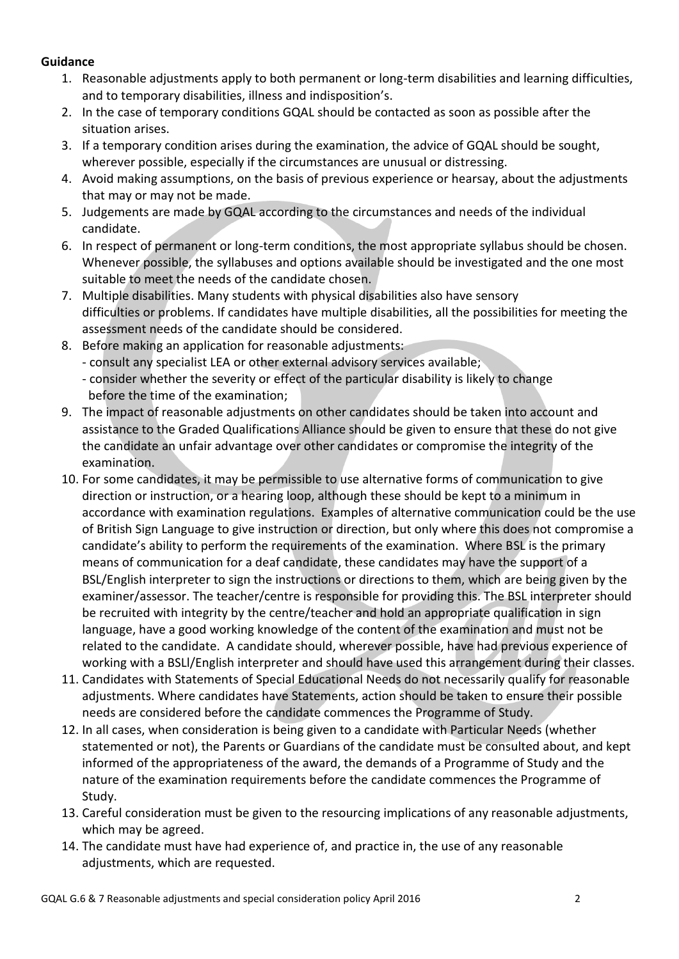#### **Guidance**

- 1. Reasonable adjustments apply to both permanent or long-term disabilities and learning difficulties, and to temporary disabilities, illness and indisposition's.
- 2. In the case of temporary conditions GQAL should be contacted as soon as possible after the situation arises.
- 3. If a temporary condition arises during the examination, the advice of GQAL should be sought, wherever possible, especially if the circumstances are unusual or distressing.
- 4. Avoid making assumptions, on the basis of previous experience or hearsay, about the adjustments that may or may not be made.
- 5. Judgements are made by GQAL according to the circumstances and needs of the individual candidate.
- 6. In respect of permanent or long-term conditions, the most appropriate syllabus should be chosen. Whenever possible, the syllabuses and options available should be investigated and the one most suitable to meet the needs of the candidate chosen.
- 7. Multiple disabilities. Many students with physical disabilities also have sensory difficulties or problems. If candidates have multiple disabilities, all the possibilities for meeting the assessment needs of the candidate should be considered.
- 8. Before making an application for reasonable adjustments:
	- consult any specialist LEA or other external advisory services available;
	- consider whether the severity or effect of the particular disability is likely to change before the time of the examination;
- 9. The impact of reasonable adjustments on other candidates should be taken into account and assistance to the Graded Qualifications Alliance should be given to ensure that these do not give the candidate an unfair advantage over other candidates or compromise the integrity of the examination.
- 10. For some candidates, it may be permissible to use alternative forms of communication to give direction or instruction, or a hearing loop, although these should be kept to a minimum in accordance with examination regulations. Examples of alternative communication could be the use of British Sign Language to give instruction or direction, but only where this does not compromise a candidate's ability to perform the requirements of the examination. Where BSL is the primary means of communication for a deaf candidate, these candidates may have the support of a BSL/English interpreter to sign the instructions or directions to them, which are being given by the examiner/assessor. The teacher/centre is responsible for providing this. The BSL interpreter should be recruited with integrity by the centre/teacher and hold an appropriate qualification in sign language, have a good working knowledge of the content of the examination and must not be related to the candidate. A candidate should, wherever possible, have had previous experience of working with a BSLl/English interpreter and should have used this arrangement during their classes.
- 11. Candidates with Statements of Special Educational Needs do not necessarily qualify for reasonable adjustments. Where candidates have Statements, action should be taken to ensure their possible needs are considered before the candidate commences the Programme of Study.
- 12. In all cases, when consideration is being given to a candidate with Particular Needs (whether statemented or not), the Parents or Guardians of the candidate must be consulted about, and kept informed of the appropriateness of the award, the demands of a Programme of Study and the nature of the examination requirements before the candidate commences the Programme of Study.
- 13. Careful consideration must be given to the resourcing implications of any reasonable adjustments, which may be agreed.
- 14. The candidate must have had experience of, and practice in, the use of any reasonable adjustments, which are requested.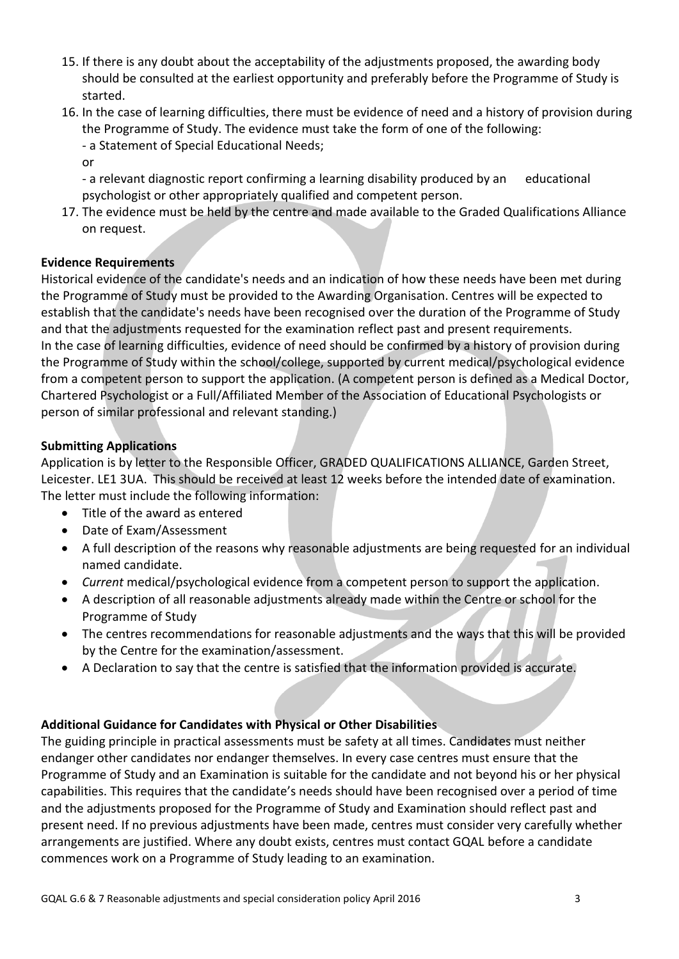- 15. If there is any doubt about the acceptability of the adjustments proposed, the awarding body should be consulted at the earliest opportunity and preferably before the Programme of Study is started.
- 16. In the case of learning difficulties, there must be evidence of need and a history of provision during the Programme of Study. The evidence must take the form of one of the following:
	- a Statement of Special Educational Needs;
	- or

- a relevant diagnostic report confirming a learning disability produced by an educational psychologist or other appropriately qualified and competent person.

17. The evidence must be held by the centre and made available to the Graded Qualifications Alliance on request.

#### **Evidence Requirements**

Historical evidence of the candidate's needs and an indication of how these needs have been met during the Programme of Study must be provided to the Awarding Organisation. Centres will be expected to establish that the candidate's needs have been recognised over the duration of the Programme of Study and that the adjustments requested for the examination reflect past and present requirements. In the case of learning difficulties, evidence of need should be confirmed by a history of provision during the Programme of Study within the school/college, supported by current medical/psychological evidence from a competent person to support the application. (A competent person is defined as a Medical Doctor, Chartered Psychologist or a Full/Affiliated Member of the Association of Educational Psychologists or person of similar professional and relevant standing.)

#### **Submitting Applications**

Application is by letter to the Responsible Officer, GRADED QUALIFICATIONS ALLIANCE, Garden Street, Leicester. LE1 3UA. This should be received at least 12 weeks before the intended date of examination. The letter must include the following information:

- Title of the award as entered
- Date of Exam/Assessment
- A full description of the reasons why reasonable adjustments are being requested for an individual named candidate.
- *Current* medical/psychological evidence from a competent person to support the application.
- A description of all reasonable adjustments already made within the Centre or school for the Programme of Study
- The centres recommendations for reasonable adjustments and the ways that this will be provided by the Centre for the examination/assessment.
- A Declaration to say that the centre is satisfied that the information provided is accurate.

### **Additional Guidance for Candidates with Physical or Other Disabilities**

The guiding principle in practical assessments must be safety at all times. Candidates must neither endanger other candidates nor endanger themselves. In every case centres must ensure that the Programme of Study and an Examination is suitable for the candidate and not beyond his or her physical capabilities. This requires that the candidate's needs should have been recognised over a period of time and the adjustments proposed for the Programme of Study and Examination should reflect past and present need. If no previous adjustments have been made, centres must consider very carefully whether arrangements are justified. Where any doubt exists, centres must contact GQAL before a candidate commences work on a Programme of Study leading to an examination.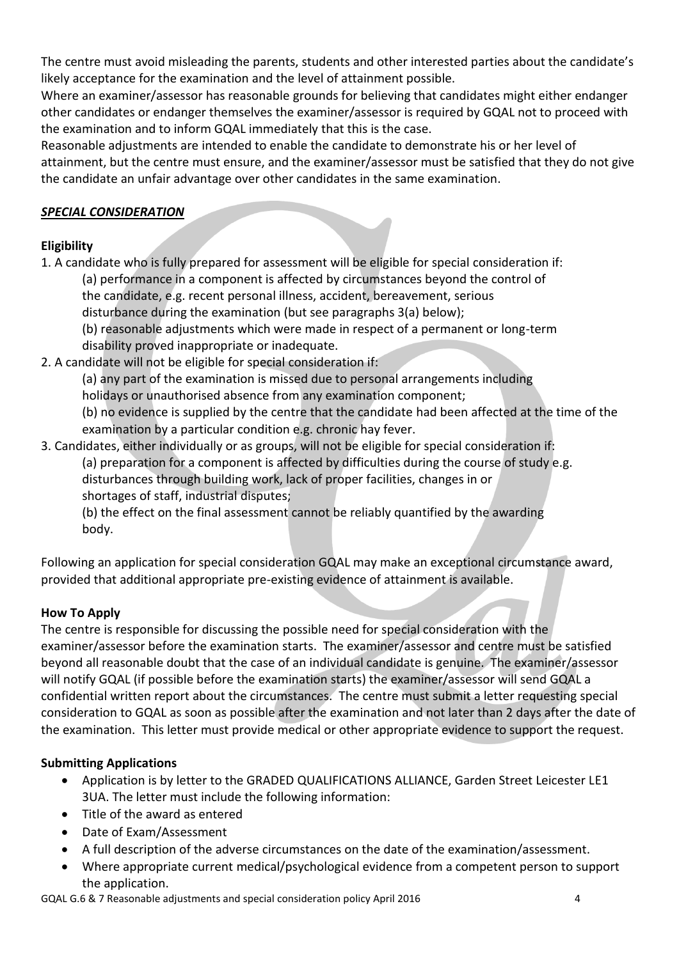The centre must avoid misleading the parents, students and other interested parties about the candidate's likely acceptance for the examination and the level of attainment possible.

Where an examiner/assessor has reasonable grounds for believing that candidates might either endanger other candidates or endanger themselves the examiner/assessor is required by GQAL not to proceed with the examination and to inform GQAL immediately that this is the case.

Reasonable adjustments are intended to enable the candidate to demonstrate his or her level of attainment, but the centre must ensure, and the examiner/assessor must be satisfied that they do not give the candidate an unfair advantage over other candidates in the same examination.

### *SPECIAL CONSIDERATION*

# **Eligibility**

1. A candidate who is fully prepared for assessment will be eligible for special consideration if: (a) performance in a component is affected by circumstances beyond the control of the candidate, e.g. recent personal illness, accident, bereavement, serious

disturbance during the examination (but see paragraphs 3(a) below);

(b) reasonable adjustments which were made in respect of a permanent or long-term disability proved inappropriate or inadequate.

2. A candidate will not be eligible for special consideration if:

(a) any part of the examination is missed due to personal arrangements including

holidays or unauthorised absence from any examination component;

(b) no evidence is supplied by the centre that the candidate had been affected at the time of the examination by a particular condition e.g. chronic hay fever.

3. Candidates, either individually or as groups, will not be eligible for special consideration if:

(a) preparation for a component is affected by difficulties during the course of study e.g. disturbances through building work, lack of proper facilities, changes in or shortages of staff, industrial disputes;

(b) the effect on the final assessment cannot be reliably quantified by the awarding body.

Following an application for special consideration GQAL may make an exceptional circumstance award, provided that additional appropriate pre-existing evidence of attainment is available.

# **How To Apply**

The centre is responsible for discussing the possible need for special consideration with the examiner/assessor before the examination starts. The examiner/assessor and centre must be satisfied beyond all reasonable doubt that the case of an individual candidate is genuine. The examiner/assessor will notify GQAL (if possible before the examination starts) the examiner/assessor will send GQAL a confidential written report about the circumstances. The centre must submit a letter requesting special consideration to GQAL as soon as possible after the examination and not later than 2 days after the date of the examination. This letter must provide medical or other appropriate evidence to support the request.

# **Submitting Applications**

- Application is by letter to the GRADED QUALIFICATIONS ALLIANCE, Garden Street Leicester LE1 3UA. The letter must include the following information:
- Title of the award as entered
- Date of Exam/Assessment
- A full description of the adverse circumstances on the date of the examination/assessment.
- Where appropriate current medical/psychological evidence from a competent person to support the application.

GQAL G.6 & 7 Reasonable adjustments and special consideration policy April 2016 4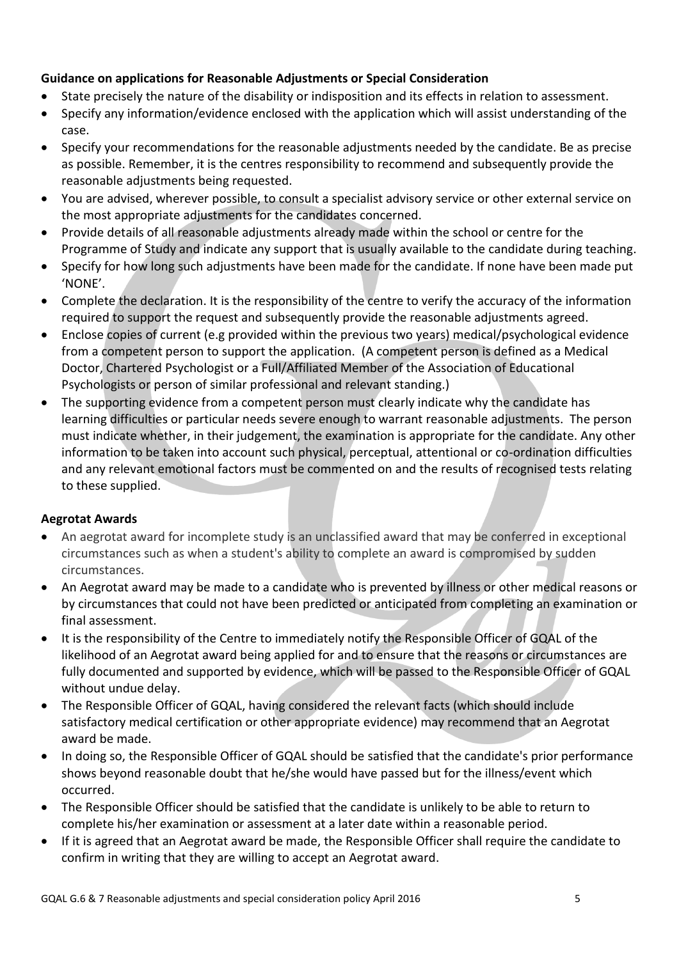### **Guidance on applications for Reasonable Adjustments or Special Consideration**

- State precisely the nature of the disability or indisposition and its effects in relation to assessment.
- Specify any information/evidence enclosed with the application which will assist understanding of the case.
- Specify your recommendations for the reasonable adjustments needed by the candidate. Be as precise as possible. Remember, it is the centres responsibility to recommend and subsequently provide the reasonable adjustments being requested.
- You are advised, wherever possible, to consult a specialist advisory service or other external service on the most appropriate adjustments for the candidates concerned.
- Provide details of all reasonable adjustments already made within the school or centre for the Programme of Study and indicate any support that is usually available to the candidate during teaching.
- Specify for how long such adjustments have been made for the candidate. If none have been made put 'NONE'.
- Complete the declaration. It is the responsibility of the centre to verify the accuracy of the information required to support the request and subsequently provide the reasonable adjustments agreed.
- Enclose copies of current (e.g provided within the previous two years) medical/psychological evidence from a competent person to support the application. (A competent person is defined as a Medical Doctor, Chartered Psychologist or a Full/Affiliated Member of the Association of Educational Psychologists or person of similar professional and relevant standing.)
- The supporting evidence from a competent person must clearly indicate why the candidate has learning difficulties or particular needs severe enough to warrant reasonable adjustments. The person must indicate whether, in their judgement, the examination is appropriate for the candidate. Any other information to be taken into account such physical, perceptual, attentional or co-ordination difficulties and any relevant emotional factors must be commented on and the results of recognised tests relating to these supplied.

### **Aegrotat Awards**

- An aegrotat award for incomplete study is an unclassified award that may be conferred in exceptional circumstances such as when a student's ability to complete an award is compromised by sudden circumstances.
- An Aegrotat award may be made to a candidate who is prevented by illness or other medical reasons or by circumstances that could not have been predicted or anticipated from completing an examination or final assessment.
- It is the responsibility of the Centre to immediately notify the Responsible Officer of GQAL of the likelihood of an Aegrotat award being applied for and to ensure that the reasons or circumstances are fully documented and supported by evidence, which will be passed to the Responsible Officer of GQAL without undue delay.
- The Responsible Officer of GQAL, having considered the relevant facts (which should include satisfactory medical certification or other appropriate evidence) may recommend that an Aegrotat award be made.
- In doing so, the Responsible Officer of GQAL should be satisfied that the candidate's prior performance shows beyond reasonable doubt that he/she would have passed but for the illness/event which occurred.
- The Responsible Officer should be satisfied that the candidate is unlikely to be able to return to complete his/her examination or assessment at a later date within a reasonable period.
- If it is agreed that an Aegrotat award be made, the Responsible Officer shall require the candidate to confirm in writing that they are willing to accept an Aegrotat award.